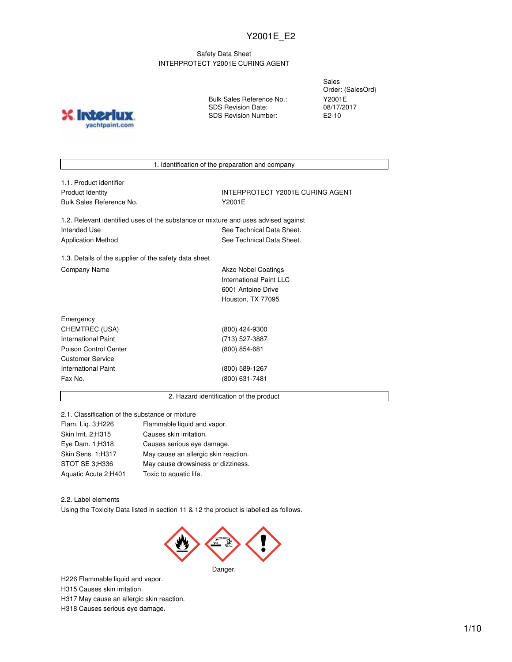### Safety Data Sheet INTERPROTECT Y2001E CURING AGENT

**INTO** yachtpaint.com Bulk Sales Reference No.: SDS Revision Date: SDS Revision Number:

Sales Order: {SalesOrd} Y2001E 08/17/2017 E2-10

1. Identification of the preparation and company

1.1. Product identifier Bulk Sales Reference No. 72001E

Product Identity **INTERPROTECT Y2001E CURING AGENT** 

1.2. Relevant identified uses of the substance or mixture and uses advised against Intended Use **See Technical Data Sheet.** See Technical Data Sheet. Application Method See Technical Data Sheet.

1.3. Details of the supplier of the safety data sheet Company Name **Akzo Nobel Coatings** 

International Paint LLC 6001 Antoine Drive Houston, TX 77095

| Emergency             |                 |
|-----------------------|-----------------|
| CHEMTREC (USA)        | (800) 424-9300  |
| International Paint   | (713) 527-3887  |
| Poison Control Center | $(800)$ 854-681 |
| Customer Service      |                 |
| International Paint   | (800) 589-1267  |
| Fax No.               | (800) 631-7481  |
|                       |                 |

#### 2. Hazard identification of the product

2.1. Classification of the substance or mixture

| Flam. Lig. 3;H226    | Flammable liquid and vapor.          |
|----------------------|--------------------------------------|
| Skin Irrit. 2:H315   | Causes skin irritation.              |
| Eye Dam. 1; H318     | Causes serious eye damage.           |
| Skin Sens. 1;H317    | May cause an allergic skin reaction. |
| STOT SE 3;H336       | May cause drowsiness or dizziness.   |
| Aquatic Acute 2;H401 | Toxic to aquatic life.               |

2.2. Label elements

Using the Toxicity Data listed in section 11 & 12 the product is labelled as follows.



H226 Flammable liquid and vapor. H315 Causes skin irritation. H317 May cause an allergic skin reaction. H318 Causes serious eye damage.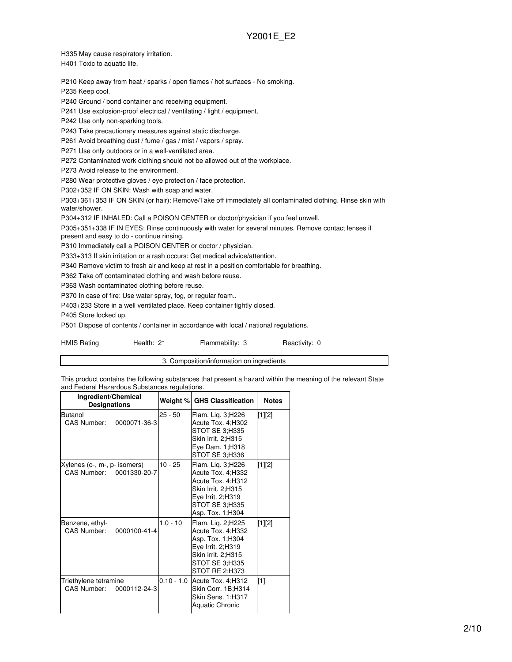H335 May cause respiratory irritation.

H401 Toxic to aquatic life.

P210 Keep away from heat / sparks / open flames / hot surfaces - No smoking.

P235 Keep cool.

P240 Ground / bond container and receiving equipment.

P241 Use explosion-proof electrical / ventilating / light / equipment.

P242 Use only non-sparking tools.

P243 Take precautionary measures against static discharge.

P261 Avoid breathing dust / fume / gas / mist / vapors / spray.

P271 Use only outdoors or in a well-ventilated area.

P272 Contaminated work clothing should not be allowed out of the workplace.

P273 Avoid release to the environment.

P280 Wear protective gloves / eye protection / face protection.

P302+352 IF ON SKIN: Wash with soap and water.

P303+361+353 IF ON SKIN (or hair): Remove/Take off immediately all contaminated clothing. Rinse skin with water/shower.

P304+312 IF INHALED: Call a POISON CENTER or doctor/physician if you feel unwell.

P305+351+338 IF IN EYES: Rinse continuously with water for several minutes. Remove contact lenses if

present and easy to do - continue rinsing.

P310 Immediately call a POISON CENTER or doctor / physician.

P333+313 If skin irritation or a rash occurs: Get medical advice/attention.

P340 Remove victim to fresh air and keep at rest in a position comfortable for breathing.

P362 Take off contaminated clothing and wash before reuse.

P363 Wash contaminated clothing before reuse.

P370 In case of fire: Use water spray, fog, or regular foam..

P403+233 Store in a well ventilated place. Keep container tightly closed.

P405 Store locked up.

P501 Dispose of contents / container in accordance with local / national regulations.

HMIS Rating **Health: 2\*** Flammability: 3 Reactivity: 0

3. Composition/information on ingredients

This product contains the following substances that present a hazard within the meaning of the relevant State and Federal Hazardous Substances regulations.

| Ingredient/Chemical<br><b>Designations</b>               |              | Weight % GHS Classification                                                                                                                  | <b>Notes</b> |
|----------------------------------------------------------|--------------|----------------------------------------------------------------------------------------------------------------------------------------------|--------------|
| Butanol<br>CAS Number:<br>0000071-36-3                   | $25 - 50$    | Flam. Lig. 3;H226<br>Acute Tox. 4;H302<br>STOT SE 3:H335<br>Skin Irrit. 2;H315<br>Eye Dam. 1;H318<br>STOT SE 3;H336                          | [1][2]       |
| Xylenes (o-, m-, p- isomers)<br>CAS Number: 0001330-20-7 | $10 - 25$    | Flam. Lig. 3;H226<br>Acute Tox. 4;H332<br>Acute Tox. 4:H312<br>Skin Irrit. 2;H315<br>Eye Irrit. 2;H319<br>STOT SE 3:H335<br>Asp. Tox. 1;H304 | [1][2]       |
| Benzene, ethyl-<br>CAS Number:<br>0000100-41-4           | $1.0 - 10$   | Flam. Lig. 2;H225<br>Acute Tox. 4;H332<br>Asp. Tox. 1:H304<br>Eye Irrit. 2;H319<br>Skin Irrit. 2:H315<br>STOT SE 3:H335<br>STOT RE 2;H373    | [1][2]       |
| Triethylene tetramine<br>CAS Number:<br>0000112-24-3     | $0.10 - 1.0$ | Acute Tox. 4: H312<br>Skin Corr. 1B;H314<br>Skin Sens. 1;H317<br><b>Aquatic Chronic</b>                                                      | $[1]$        |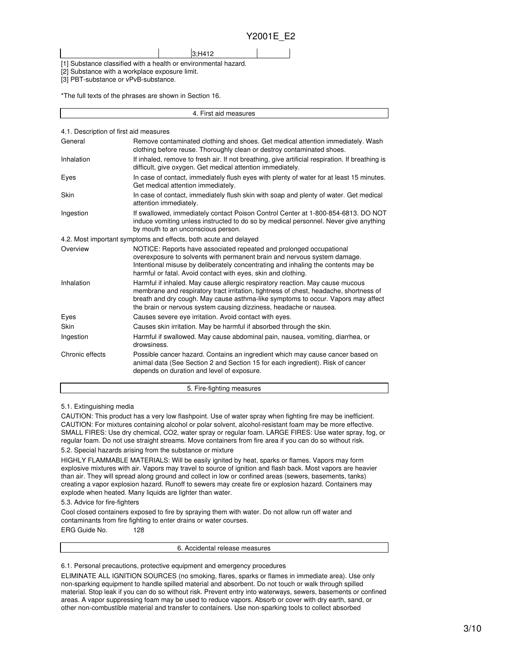[1] Substance classified with a health or environmental hazard.

3;H412

[2] Substance with a workplace exposure limit.

[3] PBT-substance or vPvB-substance.

\*The full texts of the phrases are shown in Section 16.

| 4. First aid measures                  |                                                                                                                                                                                                                                                                                                                                  |  |  |
|----------------------------------------|----------------------------------------------------------------------------------------------------------------------------------------------------------------------------------------------------------------------------------------------------------------------------------------------------------------------------------|--|--|
| 4.1. Description of first aid measures |                                                                                                                                                                                                                                                                                                                                  |  |  |
| General                                | Remove contaminated clothing and shoes. Get medical attention immediately. Wash<br>clothing before reuse. Thoroughly clean or destroy contaminated shoes.                                                                                                                                                                        |  |  |
| Inhalation                             | If inhaled, remove to fresh air. If not breathing, give artificial respiration. If breathing is<br>difficult, give oxygen. Get medical attention immediately.                                                                                                                                                                    |  |  |
| Eyes                                   | In case of contact, immediately flush eyes with plenty of water for at least 15 minutes.<br>Get medical attention immediately.                                                                                                                                                                                                   |  |  |
| Skin                                   | In case of contact, immediately flush skin with soap and plenty of water. Get medical<br>attention immediately.                                                                                                                                                                                                                  |  |  |
| Ingestion                              | If swallowed, immediately contact Poison Control Center at 1-800-854-6813. DO NOT<br>induce vomiting unless instructed to do so by medical personnel. Never give anything<br>by mouth to an unconscious person.                                                                                                                  |  |  |
|                                        | 4.2. Most important symptoms and effects, both acute and delayed                                                                                                                                                                                                                                                                 |  |  |
| Overview                               | NOTICE: Reports have associated repeated and prolonged occupational<br>overexposure to solvents with permanent brain and nervous system damage.<br>Intentional misuse by deliberately concentrating and inhaling the contents may be<br>harmful or fatal. Avoid contact with eyes, skin and clothing.                            |  |  |
| Inhalation                             | Harmful if inhaled. May cause allergic respiratory reaction. May cause mucous<br>membrane and respiratory tract irritation, tightness of chest, headache, shortness of<br>breath and dry cough. May cause asthma-like symptoms to occur. Vapors may affect<br>the brain or nervous system causing dizziness, headache or nausea. |  |  |
| Eyes                                   | Causes severe eye irritation. Avoid contact with eyes.                                                                                                                                                                                                                                                                           |  |  |
| Skin                                   | Causes skin irritation. May be harmful if absorbed through the skin.                                                                                                                                                                                                                                                             |  |  |
| Ingestion                              | Harmful if swallowed. May cause abdominal pain, nausea, vomiting, diarrhea, or<br>drowsiness.                                                                                                                                                                                                                                    |  |  |
| Chronic effects                        | Possible cancer hazard. Contains an ingredient which may cause cancer based on<br>animal data (See Section 2 and Section 15 for each ingredient). Risk of cancer<br>depends on duration and level of exposure.                                                                                                                   |  |  |
| 5. Fire-fighting measures              |                                                                                                                                                                                                                                                                                                                                  |  |  |

#### 5.1. Extinguishing media

CAUTION: This product has a very low flashpoint. Use of water spray when fighting fire may be inefficient. CAUTION: For mixtures containing alcohol or polar solvent, alcohol-resistant foam may be more effective. SMALL FIRES: Use dry chemical, CO2, water spray or regular foam. LARGE FIRES: Use water spray, fog, or regular foam. Do not use straight streams. Move containers from fire area if you can do so without risk.

#### 5.2. Special hazards arising from the substance or mixture

HIGHLY FLAMMABLE MATERIALS: Will be easily ignited by heat, sparks or flames. Vapors may form explosive mixtures with air. Vapors may travel to source of ignition and flash back. Most vapors are heavier than air. They will spread along ground and collect in low or confined areas (sewers, basements, tanks) creating a vapor explosion hazard. Runoff to sewers may create fire or explosion hazard. Containers may explode when heated. Many liquids are lighter than water.

5.3. Advice for fire-fighters

Cool closed containers exposed to fire by spraying them with water. Do not allow run off water and contaminants from fire fighting to enter drains or water courses. ERG Guide No. 128

6. Accidental release measures

6.1. Personal precautions, protective equipment and emergency procedures

ELIMINATE ALL IGNITION SOURCES (no smoking, flares, sparks or flames in immediate area). Use only non-sparking equipment to handle spilled material and absorbent. Do not touch or walk through spilled material. Stop leak if you can do so without risk. Prevent entry into waterways, sewers, basements or confined areas. A vapor suppressing foam may be used to reduce vapors. Absorb or cover with dry earth, sand, or other non-combustible material and transfer to containers. Use non-sparking tools to collect absorbed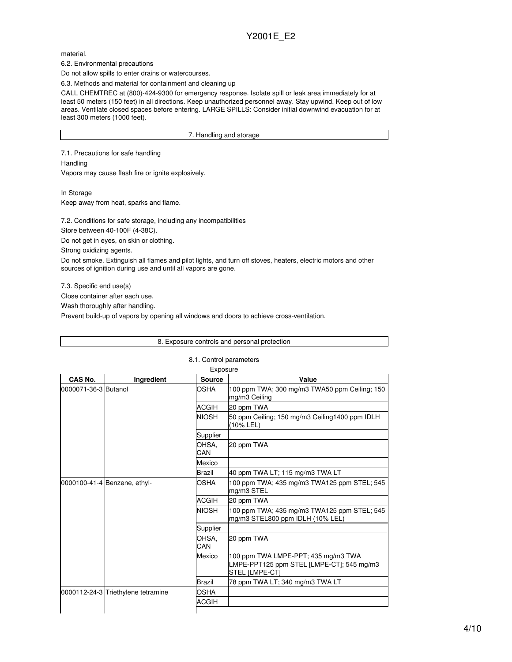material.

6.2. Environmental precautions

Do not allow spills to enter drains or watercourses.

6.3. Methods and material for containment and cleaning up

CALL CHEMTREC at (800)-424-9300 for emergency response. Isolate spill or leak area immediately for at least 50 meters (150 feet) in all directions. Keep unauthorized personnel away. Stay upwind. Keep out of low areas. Ventilate closed spaces before entering. LARGE SPILLS: Consider initial downwind evacuation for at least 300 meters (1000 feet).

7. Handling and storage

7.1. Precautions for safe handling **Handling** 

Vapors may cause flash fire or ignite explosively.

In Storage

Keep away from heat, sparks and flame.

7.2. Conditions for safe storage, including any incompatibilities

Store between 40-100F (4-38C).

Do not get in eyes, on skin or clothing.

Strong oxidizing agents.

Do not smoke. Extinguish all flames and pilot lights, and turn off stoves, heaters, electric motors and other sources of ignition during use and until all vapors are gone.

7.3. Specific end use(s)

Close container after each use.

Wash thoroughly after handling.

Prevent build-up of vapors by opening all windows and doors to achieve cross-ventilation.

|                              |                                    |                         | 8. Exposure controls and personal protection                                                              |
|------------------------------|------------------------------------|-------------------------|-----------------------------------------------------------------------------------------------------------|
|                              |                                    | 8.1. Control parameters |                                                                                                           |
|                              |                                    | Exposure                |                                                                                                           |
| CAS No.                      | Ingredient                         | <b>Source</b>           | Value                                                                                                     |
| 0000071-36-3 Butanol         |                                    | OSHA                    | 100 ppm TWA; 300 mg/m3 TWA50 ppm Ceiling; 150<br>mg/m3 Ceiling                                            |
|                              |                                    | ACGIH                   | 20 ppm TWA                                                                                                |
|                              |                                    | <b>NIOSH</b>            | 50 ppm Ceiling; 150 mg/m3 Ceiling1400 ppm IDLH<br>(10% LEL)                                               |
|                              |                                    | Supplier                |                                                                                                           |
|                              | OHSA.<br>CAN                       | 20 ppm TWA              |                                                                                                           |
|                              | Mexico                             |                         |                                                                                                           |
|                              |                                    | Brazil                  | 40 ppm TWA LT; 115 mg/m3 TWA LT                                                                           |
| 0000100-41-4 Benzene, ethyl- |                                    | <b>OSHA</b>             | 100 ppm TWA; 435 mg/m3 TWA125 ppm STEL; 545<br>mg/m3 STEL                                                 |
|                              |                                    | ACGIH                   | 20 ppm TWA                                                                                                |
|                              |                                    | <b>NIOSH</b>            | 100 ppm TWA; 435 mg/m3 TWA125 ppm STEL; 545<br>mg/m3 STEL800 ppm IDLH (10% LEL)                           |
|                              |                                    | Supplier                |                                                                                                           |
|                              |                                    | OHSA.<br>CAN            | 20 ppm TWA                                                                                                |
|                              |                                    | Mexico                  | 100 ppm TWA LMPE-PPT; 435 mg/m3 TWA<br>LMPE-PPT125 ppm STEL [LMPE-CT]; 545 mg/m3<br><b>STEL [LMPE-CT]</b> |
|                              |                                    | Brazil                  | 78 ppm TWA LT; 340 mg/m3 TWA LT                                                                           |
|                              | 0000112-24-3 Triethylene tetramine | OSHA                    |                                                                                                           |
|                              |                                    | ACGIH                   |                                                                                                           |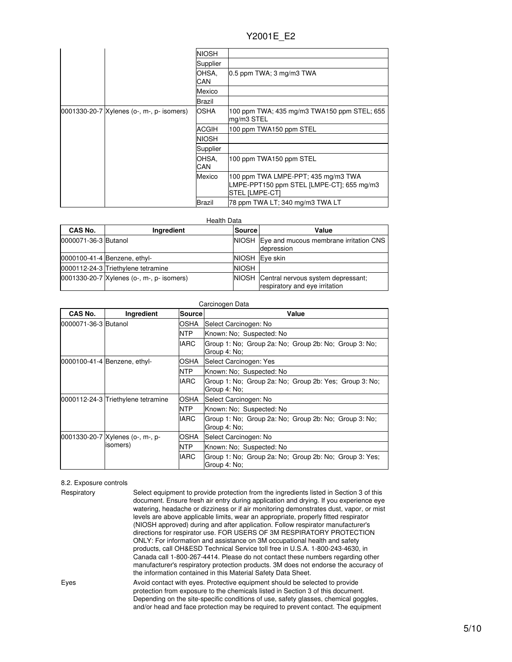|                                             | <b>NIOSH</b>  |                                                                                                    |
|---------------------------------------------|---------------|----------------------------------------------------------------------------------------------------|
|                                             | Supplier      |                                                                                                    |
|                                             | OHSA,<br>CAN  | $0.5$ ppm TWA; 3 mg/m3 TWA                                                                         |
|                                             | Mexico        |                                                                                                    |
|                                             | Brazil        |                                                                                                    |
| 0001330-20-7   Xylenes (o-, m-, p- isomers) | <b>OSHA</b>   | 100 ppm TWA; 435 mg/m3 TWA150 ppm STEL; 655<br>mg/m3 STEL                                          |
|                                             | <b>ACGIH</b>  | 100 ppm TWA150 ppm STEL                                                                            |
|                                             | <b>NIOSH</b>  |                                                                                                    |
|                                             | Supplier      |                                                                                                    |
|                                             | OHSA,<br>CAN  | 100 ppm TWA150 ppm STEL                                                                            |
|                                             | Mexico        | 100 ppm TWA LMPE-PPT; 435 mg/m3 TWA<br>LMPE-PPT150 ppm STEL [LMPE-CT]; 655 mg/m3<br>STEL [LMPE-CT] |
|                                             | <b>Brazil</b> | 78 ppm TWA LT; 340 mg/m3 TWA LT                                                                    |

| <b>Health Data</b> |  |
|--------------------|--|
|                    |  |

| CAS No.              | Ingredient                                | <b>Source</b> | Value                                                                      |
|----------------------|-------------------------------------------|---------------|----------------------------------------------------------------------------|
| 0000071-36-3 Butanol |                                           |               | NIOSH Eye and mucous membrane irritation CNS<br>depression                 |
|                      | 0000100-41-4 Benzene, ethyl-              |               | NIOSH Eye skin                                                             |
|                      | 0000112-24-3 Triethylene tetramine        | <b>NIOSH</b>  |                                                                            |
|                      | 0001330-20-7 Xylenes (o-, m-, p- isomers) |               | NIOSH Central nervous system depressant;<br>respiratory and eye irritation |

| Carcinogen Data        |                                    |             |                                                                        |
|------------------------|------------------------------------|-------------|------------------------------------------------------------------------|
| CAS No.                | Ingredient                         | Sourcel     | Value                                                                  |
| l0000071-36-3 lButanol |                                    | <b>OSHA</b> | Select Carcinogen: No                                                  |
|                        |                                    | NTP.        | Known: No: Suspected: No                                               |
|                        |                                    | <b>IARC</b> | Group 1: No; Group 2a: No; Group 2b: No; Group 3: No;<br>Group 4: No;  |
|                        | 0000100-41-4 Benzene, ethyl-       | <b>OSHA</b> | Select Carcinogen: Yes                                                 |
|                        |                                    | <b>NTP</b>  | Known: No: Suspected: No                                               |
|                        |                                    | <b>IARC</b> | Group 1: No; Group 2a: No; Group 2b: Yes; Group 3: No;<br>Group 4: No: |
|                        | 0000112-24-3 Triethylene tetramine | <b>OSHA</b> | Select Carcinogen: No                                                  |
|                        |                                    | <b>NTP</b>  | Known: No: Suspected: No                                               |
|                        |                                    | <b>IARC</b> | Group 1: No; Group 2a: No; Group 2b: No; Group 3: No;<br>Group 4: No;  |
|                        | 0001330-20-7 Xylenes (o-, m-, p-   | <b>OSHA</b> | Select Carcinogen: No                                                  |
|                        | isomers)                           | <b>NTP</b>  | Known: No; Suspected: No                                               |
|                        |                                    | <b>IARC</b> | Group 1: No; Group 2a: No; Group 2b: No; Group 3: Yes;<br>Group 4: No; |

## 8.2. Exposure controls

| Respiratory | Select equipment to provide protection from the ingredients listed in Section 3 of this<br>document. Ensure fresh air entry during application and drying. If you experience eye<br>watering, headache or dizziness or if air monitoring demonstrates dust, vapor, or mist<br>levels are above applicable limits, wear an appropriate, properly fitted respirator<br>(NIOSH approved) during and after application. Follow respirator manufacturer's<br>directions for respirator use. FOR USERS OF 3M RESPIRATORY PROTECTION<br>ONLY: For information and assistance on 3M occupational health and safety<br>products, call OH&ESD Technical Service toll free in U.S.A. 1-800-243-4630, in<br>Canada call 1-800-267-4414. Please do not contact these numbers regarding other<br>manufacturer's respiratory protection products. 3M does not endorse the accuracy of<br>the information contained in this Material Safety Data Sheet. |
|-------------|-----------------------------------------------------------------------------------------------------------------------------------------------------------------------------------------------------------------------------------------------------------------------------------------------------------------------------------------------------------------------------------------------------------------------------------------------------------------------------------------------------------------------------------------------------------------------------------------------------------------------------------------------------------------------------------------------------------------------------------------------------------------------------------------------------------------------------------------------------------------------------------------------------------------------------------------|
| Eyes        | Avoid contact with eyes. Protective equipment should be selected to provide<br>protection from exposure to the chemicals listed in Section 3 of this document.<br>Depending on the site-specific conditions of use, safety glasses, chemical goggles,<br>and/or head and face protection may be required to prevent contact. The equipment                                                                                                                                                                                                                                                                                                                                                                                                                                                                                                                                                                                              |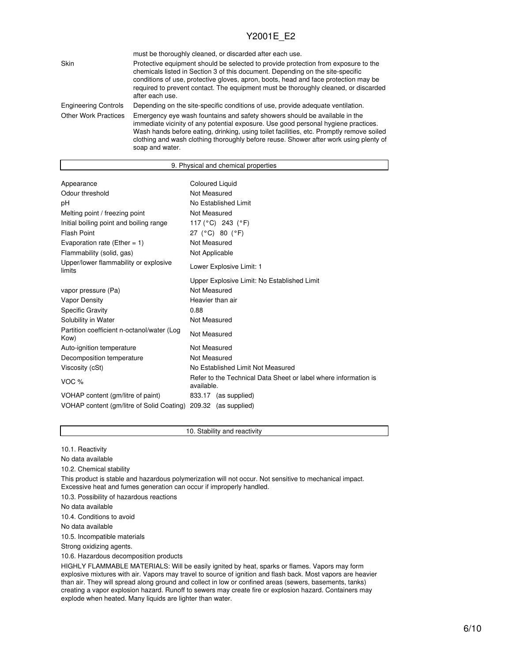|                             | must be thoroughly cleaned, or discarded after each use.                                                                                                                                                                                                                                                                                                                 |
|-----------------------------|--------------------------------------------------------------------------------------------------------------------------------------------------------------------------------------------------------------------------------------------------------------------------------------------------------------------------------------------------------------------------|
| Skin                        | Protective equipment should be selected to provide protection from exposure to the<br>chemicals listed in Section 3 of this document. Depending on the site-specific<br>conditions of use, protective gloves, apron, boots, head and face protection may be<br>required to prevent contact. The equipment must be thoroughly cleaned, or discarded<br>after each use.    |
| <b>Engineering Controls</b> | Depending on the site-specific conditions of use, provide adequate ventilation.                                                                                                                                                                                                                                                                                          |
| <b>Other Work Practices</b> | Emergency eye wash fountains and safety showers should be available in the<br>immediate vicinity of any potential exposure. Use good personal hygiene practices.<br>Wash hands before eating, drinking, using toilet facilities, etc. Promptly remove soiled<br>clothing and wash clothing thoroughly before reuse. Shower after work using plenty of<br>soap and water. |

| 9. Physical and chemical properties                |                                                                               |  |  |
|----------------------------------------------------|-------------------------------------------------------------------------------|--|--|
|                                                    |                                                                               |  |  |
| Appearance                                         | <b>Coloured Liquid</b>                                                        |  |  |
| Odour threshold                                    | Not Measured                                                                  |  |  |
| pH                                                 | No Established Limit                                                          |  |  |
| Melting point / freezing point                     | Not Measured                                                                  |  |  |
| Initial boiling point and boiling range            | 117 (°C) 243 (°F)                                                             |  |  |
| <b>Flash Point</b>                                 | 27 (°C) 80 (°F)                                                               |  |  |
| Evaporation rate (Ether = $1$ )                    | Not Measured                                                                  |  |  |
| Flammability (solid, gas)                          | Not Applicable                                                                |  |  |
| Upper/lower flammability or explosive<br>limits    | Lower Explosive Limit: 1                                                      |  |  |
|                                                    | Upper Explosive Limit: No Established Limit                                   |  |  |
| vapor pressure (Pa)                                | Not Measured                                                                  |  |  |
| Vapor Density                                      | Heavier than air                                                              |  |  |
| <b>Specific Gravity</b>                            | 0.88                                                                          |  |  |
| Solubility in Water                                | Not Measured                                                                  |  |  |
| Partition coefficient n-octanol/water (Log<br>Kow) | Not Measured                                                                  |  |  |
| Auto-ignition temperature                          | Not Measured                                                                  |  |  |
| Decomposition temperature                          | Not Measured                                                                  |  |  |
| Viscosity (cSt)                                    | No Established Limit Not Measured                                             |  |  |
| VOC <sub>%</sub>                                   | Refer to the Technical Data Sheet or label where information is<br>available. |  |  |
| VOHAP content (gm/litre of paint)                  | 833.17 (as supplied)                                                          |  |  |
| VOHAP content (gm/litre of Solid Coating)          | 209.32 (as supplied)                                                          |  |  |

10. Stability and reactivity

10.1. Reactivity

No data available

10.2. Chemical stability

This product is stable and hazardous polymerization will not occur. Not sensitive to mechanical impact. Excessive heat and fumes generation can occur if improperly handled.

10.3. Possibility of hazardous reactions

No data available

10.4. Conditions to avoid

No data available

10.5. Incompatible materials

Strong oxidizing agents.

10.6. Hazardous decomposition products

HIGHLY FLAMMABLE MATERIALS: Will be easily ignited by heat, sparks or flames. Vapors may form explosive mixtures with air. Vapors may travel to source of ignition and flash back. Most vapors are heavier than air. They will spread along ground and collect in low or confined areas (sewers, basements, tanks) creating a vapor explosion hazard. Runoff to sewers may create fire or explosion hazard. Containers may explode when heated. Many liquids are lighter than water.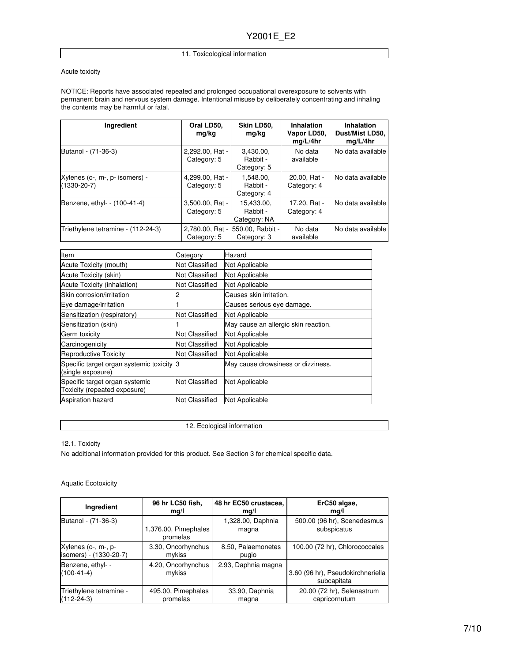#### 11. Toxicological information

#### Acute toxicity

NOTICE: Reports have associated repeated and prolonged occupational overexposure to solvents with permanent brain and nervous system damage. Intentional misuse by deliberately concentrating and inhaling the contents may be harmful or fatal.

| <b>Ingredient</b>                                   | Oral LD50,<br>mg/kg            | Skin LD50,<br>mg/kg                    | <b>Inhalation</b><br>Vapor LD50,<br>mq/L/4hr | <b>Inhalation</b><br>Dust/Mist LD50,<br>mq/L/4hr |
|-----------------------------------------------------|--------------------------------|----------------------------------------|----------------------------------------------|--------------------------------------------------|
| Butanol - (71-36-3)                                 | 2,292.00, Rat -<br>Category: 5 | 3.430.00.<br>Rabbit -<br>Category: 5   | No data<br>available                         | No data available                                |
| Xylenes (o-, m-, p- isomers) -<br>$(1330 - 20 - 7)$ | 4,299.00, Rat -<br>Category: 5 | 1.548.00.<br>Rabbit -<br>Category: 4   | 20.00, Rat -<br>Category: 4                  | No data available                                |
| Benzene, ethyl- - (100-41-4)                        | 3,500.00, Rat -<br>Category: 5 | 15.433.00.<br>Rabbit -<br>Category: NA | 17.20. Rat -<br>Category: 4                  | No data available                                |
| Triethylene tetramine - (112-24-3)                  | 2,780.00, Rat -<br>Category: 5 | 550.00, Rabbit -<br>Category: 3        | No data<br>available                         | No data available                                |

| Item                                                           | Category              | Hazard                               |
|----------------------------------------------------------------|-----------------------|--------------------------------------|
| Acute Toxicity (mouth)                                         | Not Classified        | Not Applicable                       |
| Acute Toxicity (skin)                                          | Not Classified        | Not Applicable                       |
| Acute Toxicity (inhalation)                                    | Not Classified        | Not Applicable                       |
| Skin corrosion/irritation                                      |                       | Causes skin irritation.              |
| Eye damage/irritation                                          |                       | Causes serious eye damage.           |
| Sensitization (respiratory)                                    | Not Classified        | Not Applicable                       |
| Sensitization (skin)                                           |                       | May cause an allergic skin reaction. |
| Germ toxicity                                                  | Not Classified        | Not Applicable                       |
| Carcinogenicity                                                | Not Classified        | Not Applicable                       |
| Reproductive Toxicity                                          | Not Classified        | Not Applicable                       |
| Specific target organ systemic toxicity 3<br>(single exposure) |                       | May cause drowsiness or dizziness.   |
| Specific target organ systemic<br>Toxicity (repeated exposure) | Not Classified        | Not Applicable                       |
| <b>Aspiration hazard</b>                                       | <b>Not Classified</b> | Not Applicable                       |

12. Ecological information

12.1. Toxicity

No additional information provided for this product. See Section 3 for chemical specific data.

Aquatic Ecotoxicity

| Ingredient              | 96 hr LC50 fish,     | 48 hr EC50 crustacea, | ErC50 algae,                      |
|-------------------------|----------------------|-----------------------|-----------------------------------|
|                         | mq/l                 | mg/l                  | mq/l                              |
| Butanol - (71-36-3)     | 1,376.00, Pimephales | 1,328.00, Daphnia     | 500.00 (96 hr), Scenedesmus       |
|                         | promelas             | magna                 | subspicatus                       |
| Xylenes (o-, m-, p-     | 3.30, Oncorhynchus   | 8.50, Palaemonetes    | 100.00 (72 hr), Chlorococcales    |
| isomers) - (1330-20-7)  | mykiss               | pugio                 |                                   |
| Benzene, ethyl- -       | 4.20, Oncorhynchus   | 2.93, Daphnia magna   | 3.60 (96 hr), Pseudokirchneriella |
| $(100-41-4)$            | mykiss               |                       | subcapitata                       |
| Triethylene tetramine - | 495.00, Pimephales   | 33.90, Daphnia        | 20.00 (72 hr), Selenastrum        |
| $(112-24-3)$            | promelas             | magna                 | capricornutum                     |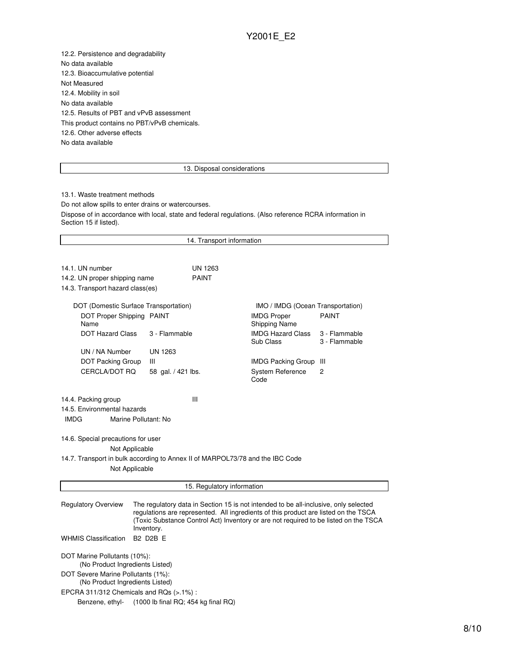12.2. Persistence and degradability No data available 12.3. Bioaccumulative potential Not Measured 12.4. Mobility in soil No data available 12.5. Results of PBT and vPvB assessment This product contains no PBT/vPvB chemicals. 12.6. Other adverse effects No data available

#### 13. Disposal considerations

13.1. Waste treatment methods Do not allow spills to enter drains or watercourses. Dispose of in accordance with local, state and federal regulations. (Also reference RCRA information in Section 15 if listed).

| 14. Transport information                                                                                                                                                                                                                                                                                       |                    |                |                                            |                                |  |  |  |
|-----------------------------------------------------------------------------------------------------------------------------------------------------------------------------------------------------------------------------------------------------------------------------------------------------------------|--------------------|----------------|--------------------------------------------|--------------------------------|--|--|--|
|                                                                                                                                                                                                                                                                                                                 |                    |                |                                            |                                |  |  |  |
| 14.1. UN number                                                                                                                                                                                                                                                                                                 |                    | <b>UN 1263</b> |                                            |                                |  |  |  |
| 14.2. UN proper shipping name                                                                                                                                                                                                                                                                                   |                    | <b>PAINT</b>   |                                            |                                |  |  |  |
| 14.3. Transport hazard class(es)                                                                                                                                                                                                                                                                                |                    |                |                                            |                                |  |  |  |
| IMO / IMDG (Ocean Transportation)                                                                                                                                                                                                                                                                               |                    |                |                                            |                                |  |  |  |
| DOT (Domestic Surface Transportation)<br>DOT Proper Shipping PAINT<br>Name                                                                                                                                                                                                                                      |                    |                | <b>IMDG Proper</b><br><b>Shipping Name</b> | <b>PAINT</b>                   |  |  |  |
| <b>DOT Hazard Class</b>                                                                                                                                                                                                                                                                                         | 3 - Flammable      |                | <b>IMDG Hazard Class</b><br>Sub Class      | 3 - Flammable<br>3 - Flammable |  |  |  |
| UN / NA Number                                                                                                                                                                                                                                                                                                  | <b>UN 1263</b>     |                |                                            |                                |  |  |  |
| <b>DOT Packing Group</b>                                                                                                                                                                                                                                                                                        | Ш                  |                | <b>IMDG Packing Group</b>                  | Ш                              |  |  |  |
| CERCLA/DOT RQ                                                                                                                                                                                                                                                                                                   | 58 gal. / 421 lbs. |                | <b>System Reference</b><br>Code            | 2                              |  |  |  |
| Ш<br>14.4. Packing group<br>14.5. Environmental hazards<br><b>IMDG</b><br>Marine Pollutant: No<br>14.6. Special precautions for user<br>Not Applicable<br>14.7. Transport in bulk according to Annex II of MARPOL73/78 and the IBC Code<br>Not Applicable                                                       |                    |                |                                            |                                |  |  |  |
| 15. Regulatory information                                                                                                                                                                                                                                                                                      |                    |                |                                            |                                |  |  |  |
| <b>Regulatory Overview</b><br>The regulatory data in Section 15 is not intended to be all-inclusive, only selected<br>regulations are represented. All ingredients of this product are listed on the TSCA<br>(Toxic Substance Control Act) Inventory or are not required to be listed on the TSCA<br>Inventory. |                    |                |                                            |                                |  |  |  |
| <b>B2 D2B F</b><br><b>WHMIS Classification</b>                                                                                                                                                                                                                                                                  |                    |                |                                            |                                |  |  |  |
| DOT Marine Pollutants (10%):<br>(No Product Ingredients Listed)<br>DOT Severe Marine Pollutants (1%):<br>(No Product Ingredients Listed)<br>EPCRA 311/312 Chemicals and RQs (>.1%):<br>(1000 lb final RQ; 454 kg final RQ)<br>Benzene, ethyl-                                                                   |                    |                |                                            |                                |  |  |  |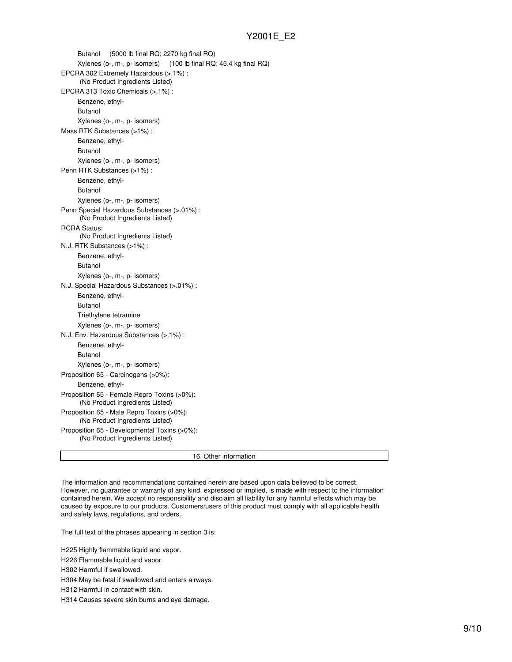Butanol (5000 lb final RQ; 2270 kg final RQ) Xylenes (o-, m-, p- isomers) (100 lb final RQ; 45.4 kg final RQ) EPCRA 302 Extremely Hazardous (>.1%) : (No Product Ingredients Listed) EPCRA 313 Toxic Chemicals (>.1%) : Benzene, ethyl-Butanol Xylenes (o-, m-, p- isomers) Mass RTK Substances (>1%) : Benzene, ethyl-Butanol Xylenes (o-, m-, p- isomers) Penn RTK Substances (>1%) : Benzene, ethyl-Butanol Xylenes (o-, m-, p- isomers) Penn Special Hazardous Substances (>.01%) : (No Product Ingredients Listed) RCRA Status: (No Product Ingredients Listed) N.J. RTK Substances (>1%) : Benzene, ethyl-Butanol Xylenes (o-, m-, p- isomers) N.J. Special Hazardous Substances (>.01%) : Benzene, ethyl-Butanol Triethylene tetramine Xylenes (o-, m-, p- isomers) N.J. Env. Hazardous Substances (>.1%) : Benzene, ethyl-Butanol Xylenes (o-, m-, p- isomers) Proposition 65 - Carcinogens (>0%): Benzene, ethyl-Proposition 65 - Female Repro Toxins (>0%): (No Product Ingredients Listed) Proposition 65 - Male Repro Toxins (>0%): (No Product Ingredients Listed) Proposition 65 - Developmental Toxins (>0%): (No Product Ingredients Listed)

16. Other information

The information and recommendations contained herein are based upon data believed to be correct. However, no guarantee or warranty of any kind, expressed or implied, is made with respect to the information contained herein. We accept no responsibility and disclaim all liability for any harmful effects which may be caused by exposure to our products. Customers/users of this product must comply with all applicable health and safety laws, regulations, and orders.

The full text of the phrases appearing in section 3 is:

H225 Highly flammable liquid and vapor.

H226 Flammable liquid and vapor.

H302 Harmful if swallowed.

H304 May be fatal if swallowed and enters airways.

H312 Harmful in contact with skin.

H314 Causes severe skin burns and eye damage.